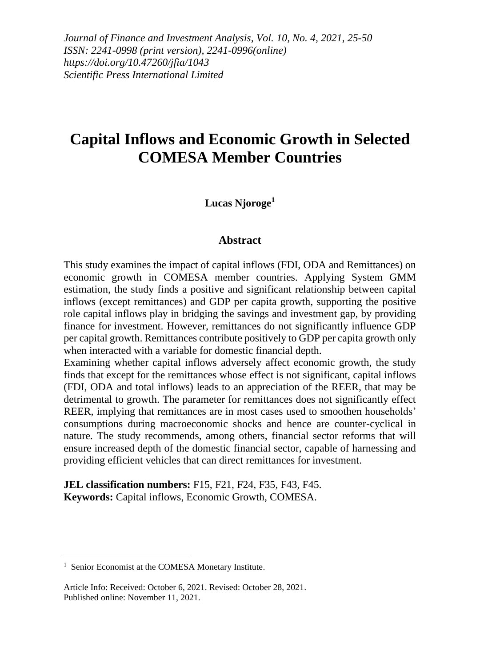*Journal of Finance and Investment Analysis, Vol. 10, No. 4, 2021, 25-50 ISSN: 2241-0998 (print version), 2241-0996(online) https://doi.org/10.47260/jfia/1043 Scientific Press International Limited*

# **Capital Inflows and Economic Growth in Selected COMESA Member Countries**

### **Lucas Njoroge<sup>1</sup>**

#### **Abstract**

This study examines the impact of capital inflows (FDI, ODA and Remittances) on economic growth in COMESA member countries. Applying System GMM estimation, the study finds a positive and significant relationship between capital inflows (except remittances) and GDP per capita growth, supporting the positive role capital inflows play in bridging the savings and investment gap, by providing finance for investment. However, remittances do not significantly influence GDP per capital growth. Remittances contribute positively to GDP per capita growth only when interacted with a variable for domestic financial depth.

Examining whether capital inflows adversely affect economic growth, the study finds that except for the remittances whose effect is not significant, capital inflows (FDI, ODA and total inflows) leads to an appreciation of the REER, that may be detrimental to growth. The parameter for remittances does not significantly effect REER, implying that remittances are in most cases used to smoothen households' consumptions during macroeconomic shocks and hence are counter-cyclical in nature. The study recommends, among others, financial sector reforms that will ensure increased depth of the domestic financial sector, capable of harnessing and providing efficient vehicles that can direct remittances for investment.

**JEL classification numbers:** F15, F21, F24, F35, F43, F45. **Keywords:** Capital inflows, Economic Growth, COMESA.

<sup>&</sup>lt;sup>1</sup> Senior Economist at the COMESA Monetary Institute.

Article Info: Received: October 6, 2021. Revised: October 28, 2021. Published online: November 11, 2021.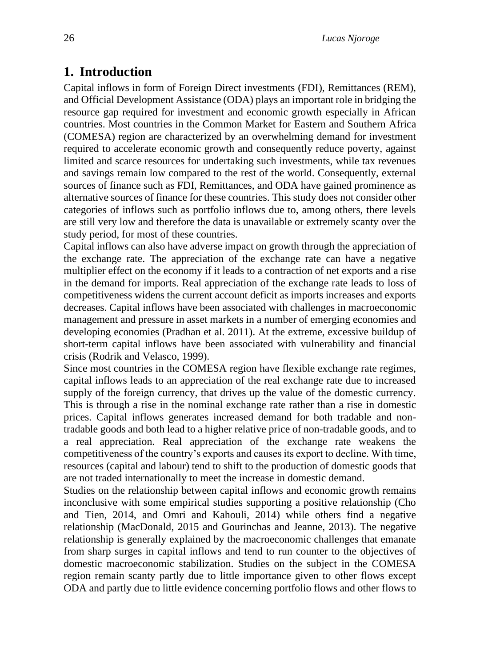## **1. Introduction**

Capital inflows in form of Foreign Direct investments (FDI), Remittances (REM), and Official Development Assistance (ODA) plays an important role in bridging the resource gap required for investment and economic growth especially in African countries. Most countries in the Common Market for Eastern and Southern Africa (COMESA) region are characterized by an overwhelming demand for investment required to accelerate economic growth and consequently reduce poverty, against limited and scarce resources for undertaking such investments, while tax revenues and savings remain low compared to the rest of the world. Consequently, external sources of finance such as FDI, Remittances, and ODA have gained prominence as alternative sources of finance for these countries. This study does not consider other categories of inflows such as portfolio inflows due to, among others, there levels are still very low and therefore the data is unavailable or extremely scanty over the study period, for most of these countries.

Capital inflows can also have adverse impact on growth through the appreciation of the exchange rate. The appreciation of the exchange rate can have a negative multiplier effect on the economy if it leads to a contraction of net exports and a rise in the demand for imports. Real appreciation of the exchange rate leads to loss of competitiveness widens the current account deficit as imports increases and exports decreases. Capital inflows have been associated with challenges in macroeconomic management and pressure in asset markets in a number of emerging economies and developing economies (Pradhan et al. 2011). At the extreme, excessive buildup of short-term capital inflows have been associated with vulnerability and financial crisis (Rodrik and Velasco, 1999).

Since most countries in the COMESA region have flexible exchange rate regimes, capital inflows leads to an appreciation of the real exchange rate due to increased supply of the foreign currency, that drives up the value of the domestic currency. This is through a rise in the nominal exchange rate rather than a rise in domestic prices. Capital inflows generates increased demand for both tradable and nontradable goods and both lead to a higher relative price of non-tradable goods, and to a real appreciation. Real appreciation of the exchange rate weakens the competitiveness of the country's exports and causes its export to decline. With time, resources (capital and labour) tend to shift to the production of domestic goods that are not traded internationally to meet the increase in domestic demand.

Studies on the relationship between capital inflows and economic growth remains inconclusive with some empirical studies supporting a positive relationship (Cho and Tien, 2014, and Omri and Kahouli, 2014) while others find a negative relationship (MacDonald, 2015 and Gourinchas and Jeanne, 2013). The negative relationship is generally explained by the macroeconomic challenges that emanate from sharp surges in capital inflows and tend to run counter to the objectives of domestic macroeconomic stabilization. Studies on the subject in the COMESA region remain scanty partly due to little importance given to other flows except ODA and partly due to little evidence concerning portfolio flows and other flows to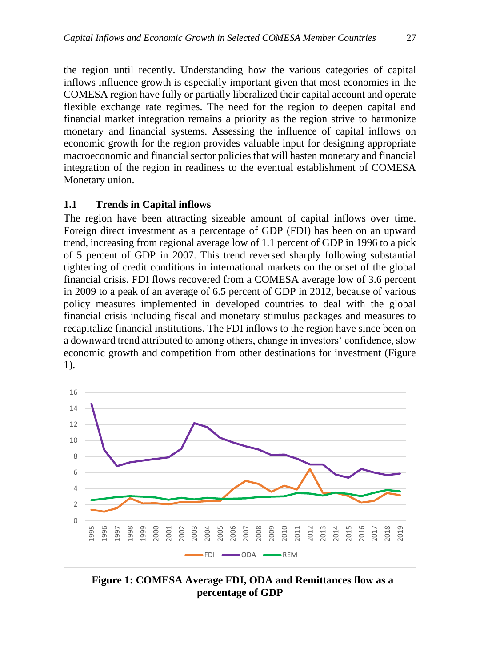the region until recently. Understanding how the various categories of capital inflows influence growth is especially important given that most economies in the COMESA region have fully or partially liberalized their capital account and operate flexible exchange rate regimes. The need for the region to deepen capital and financial market integration remains a priority as the region strive to harmonize monetary and financial systems. Assessing the influence of capital inflows on economic growth for the region provides valuable input for designing appropriate macroeconomic and financial sector policies that will hasten monetary and financial integration of the region in readiness to the eventual establishment of COMESA Monetary union.

### **1.1 Trends in Capital inflows**

The region have been attracting sizeable amount of capital inflows over time. Foreign direct investment as a percentage of GDP (FDI) has been on an upward trend, increasing from regional average low of 1.1 percent of GDP in 1996 to a pick of 5 percent of GDP in 2007. This trend reversed sharply following substantial tightening of credit conditions in international markets on the onset of the global financial crisis. FDI flows recovered from a COMESA average low of 3.6 percent in 2009 to a peak of an average of 6.5 percent of GDP in 2012, because of various policy measures implemented in developed countries to deal with the global financial crisis including fiscal and monetary stimulus packages and measures to recapitalize financial institutions. The FDI inflows to the region have since been on a downward trend attributed to among others, change in investors' confidence, slow economic growth and competition from other destinations for investment (Figure 1).



**Figure 1: COMESA Average FDI, ODA and Remittances flow as a percentage of GDP**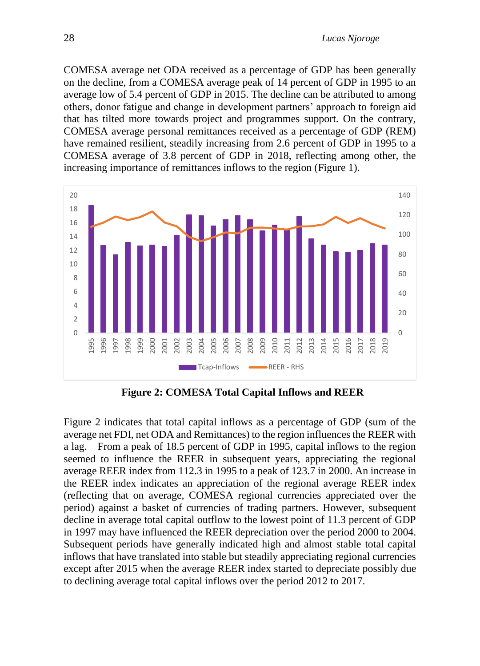COMESA average net ODA received as a percentage of GDP has been generally on the decline, from a COMESA average peak of 14 percent of GDP in 1995 to an average low of 5.4 percent of GDP in 2015. The decline can be attributed to among others, donor fatigue and change in development partners' approach to foreign aid that has tilted more towards project and programmes support. On the contrary, COMESA average personal remittances received as a percentage of GDP (REM) have remained resilient, steadily increasing from 2.6 percent of GDP in 1995 to a COMESA average of 3.8 percent of GDP in 2018, reflecting among other, the increasing importance of remittances inflows to the region (Figure 1).



**Figure 2: COMESA Total Capital Inflows and REER**

Figure 2 indicates that total capital inflows as a percentage of GDP (sum of the average net FDI, net ODA and Remittances) to the region influences the REER with a lag. From a peak of 18.5 percent of GDP in 1995, capital inflows to the region seemed to influence the REER in subsequent years, appreciating the regional average REER index from 112.3 in 1995 to a peak of 123.7 in 2000. An increase in the REER index indicates an appreciation of the regional average REER index (reflecting that on average, COMESA regional currencies appreciated over the period) against a basket of currencies of trading partners. However, subsequent decline in average total capital outflow to the lowest point of 11.3 percent of GDP in 1997 may have influenced the REER depreciation over the period 2000 to 2004. Subsequent periods have generally indicated high and almost stable total capital inflows that have translated into stable but steadily appreciating regional currencies except after 2015 when the average REER index started to depreciate possibly due to declining average total capital inflows over the period 2012 to 2017.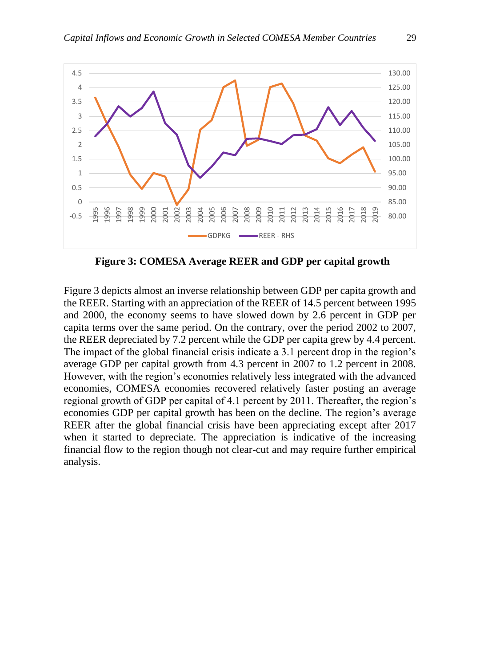

**Figure 3: COMESA Average REER and GDP per capital growth**

Figure 3 depicts almost an inverse relationship between GDP per capita growth and the REER. Starting with an appreciation of the REER of 14.5 percent between 1995 and 2000, the economy seems to have slowed down by 2.6 percent in GDP per capita terms over the same period. On the contrary, over the period 2002 to 2007, the REER depreciated by 7.2 percent while the GDP per capita grew by 4.4 percent. The impact of the global financial crisis indicate a 3.1 percent drop in the region's average GDP per capital growth from 4.3 percent in 2007 to 1.2 percent in 2008. However, with the region's economies relatively less integrated with the advanced economies, COMESA economies recovered relatively faster posting an average regional growth of GDP per capital of 4.1 percent by 2011. Thereafter, the region's economies GDP per capital growth has been on the decline. The region's average REER after the global financial crisis have been appreciating except after 2017 when it started to depreciate. The appreciation is indicative of the increasing financial flow to the region though not clear-cut and may require further empirical analysis.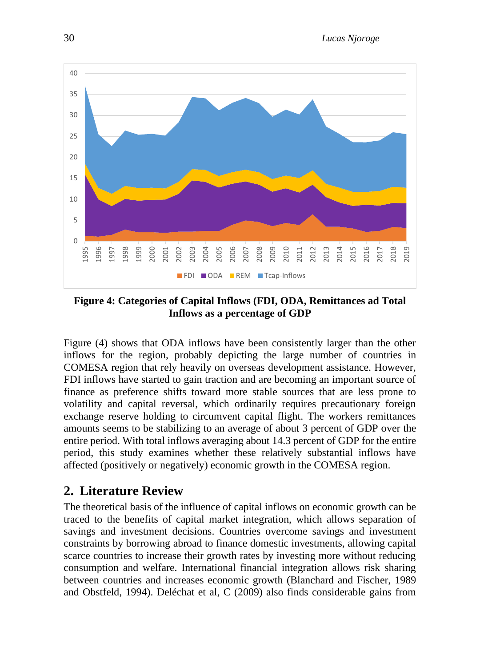

**Figure 4: Categories of Capital Inflows (FDI, ODA, Remittances ad Total Inflows as a percentage of GDP**

Figure (4) shows that ODA inflows have been consistently larger than the other inflows for the region, probably depicting the large number of countries in COMESA region that rely heavily on overseas development assistance. However, FDI inflows have started to gain traction and are becoming an important source of finance as preference shifts toward more stable sources that are less prone to volatility and capital reversal, which ordinarily requires precautionary foreign exchange reserve holding to circumvent capital flight. The workers remittances amounts seems to be stabilizing to an average of about 3 percent of GDP over the entire period. With total inflows averaging about 14.3 percent of GDP for the entire period, this study examines whether these relatively substantial inflows have affected (positively or negatively) economic growth in the COMESA region.

## **2. Literature Review**

The theoretical basis of the influence of capital inflows on economic growth can be traced to the benefits of capital market integration, which allows separation of savings and investment decisions. Countries overcome savings and investment constraints by borrowing abroad to finance domestic investments, allowing capital scarce countries to increase their growth rates by investing more without reducing consumption and welfare. International financial integration allows risk sharing between countries and increases economic growth (Blanchard and Fischer, 1989 and Obstfeld, 1994). Deléchat et al, C (2009) also finds considerable gains from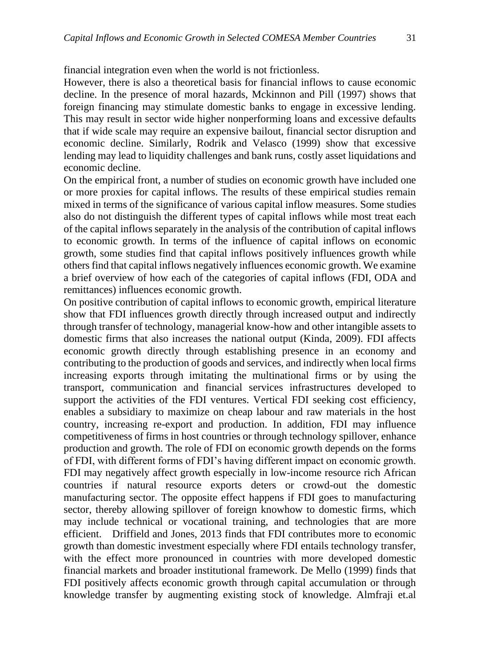financial integration even when the world is not frictionless.

However, there is also a theoretical basis for financial inflows to cause economic decline. In the presence of moral hazards, Mckinnon and Pill (1997) shows that foreign financing may stimulate domestic banks to engage in excessive lending. This may result in sector wide higher nonperforming loans and excessive defaults that if wide scale may require an expensive bailout, financial sector disruption and economic decline. Similarly, Rodrik and Velasco (1999) show that excessive lending may lead to liquidity challenges and bank runs, costly asset liquidations and economic decline.

On the empirical front, a number of studies on economic growth have included one or more proxies for capital inflows. The results of these empirical studies remain mixed in terms of the significance of various capital inflow measures. Some studies also do not distinguish the different types of capital inflows while most treat each of the capital inflows separately in the analysis of the contribution of capital inflows to economic growth. In terms of the influence of capital inflows on economic growth, some studies find that capital inflows positively influences growth while others find that capital inflows negatively influences economic growth. We examine a brief overview of how each of the categories of capital inflows (FDI, ODA and remittances) influences economic growth.

On positive contribution of capital inflows to economic growth, empirical literature show that FDI influences growth directly through increased output and indirectly through transfer of technology, managerial know-how and other intangible assets to domestic firms that also increases the national output (Kinda, 2009). FDI affects economic growth directly through establishing presence in an economy and contributing to the production of goods and services, and indirectly when local firms increasing exports through imitating the multinational firms or by using the transport, communication and financial services infrastructures developed to support the activities of the FDI ventures. Vertical FDI seeking cost efficiency, enables a subsidiary to maximize on cheap labour and raw materials in the host country, increasing re-export and production. In addition, FDI may influence competitiveness of firms in host countries or through technology spillover, enhance production and growth. The role of FDI on economic growth depends on the forms of FDI, with different forms of FDI's having different impact on economic growth. FDI may negatively affect growth especially in low-income resource rich African countries if natural resource exports deters or crowd-out the domestic manufacturing sector. The opposite effect happens if FDI goes to manufacturing sector, thereby allowing spillover of foreign knowhow to domestic firms, which may include technical or vocational training, and technologies that are more efficient. Driffield and Jones, 2013 finds that FDI contributes more to economic growth than domestic investment especially where FDI entails technology transfer, with the effect more pronounced in countries with more developed domestic financial markets and broader institutional framework. De Mello (1999) finds that FDI positively affects economic growth through capital accumulation or through knowledge transfer by augmenting existing stock of knowledge. Almfraji et.al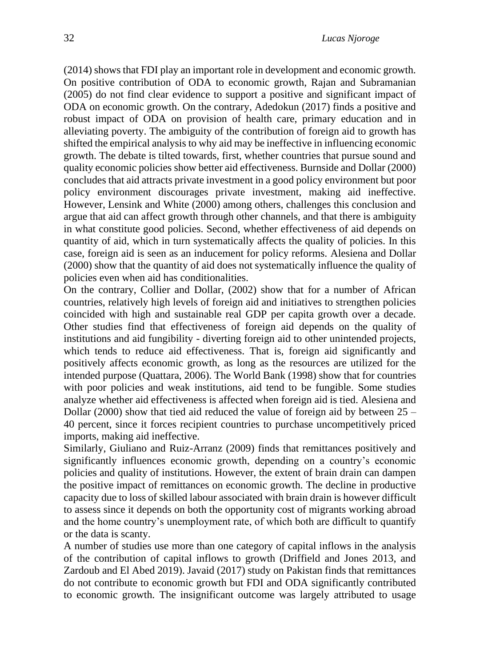(2014) shows that FDI play an important role in development and economic growth. On positive contribution of ODA to economic growth, Rajan and Subramanian (2005) do not find clear evidence to support a positive and significant impact of ODA on economic growth. On the contrary, Adedokun (2017) finds a positive and robust impact of ODA on provision of health care, primary education and in alleviating poverty. The ambiguity of the contribution of foreign aid to growth has shifted the empirical analysis to why aid may be ineffective in influencing economic growth. The debate is tilted towards, first, whether countries that pursue sound and quality economic policies show better aid effectiveness. Burnside and Dollar (2000) concludes that aid attracts private investment in a good policy environment but poor policy environment discourages private investment, making aid ineffective. However, Lensink and White (2000) among others, challenges this conclusion and argue that aid can affect growth through other channels, and that there is ambiguity in what constitute good policies. Second, whether effectiveness of aid depends on quantity of aid, which in turn systematically affects the quality of policies. In this case, foreign aid is seen as an inducement for policy reforms. Alesiena and Dollar (2000) show that the quantity of aid does not systematically influence the quality of policies even when aid has conditionalities.

On the contrary, Collier and Dollar, (2002) show that for a number of African countries, relatively high levels of foreign aid and initiatives to strengthen policies coincided with high and sustainable real GDP per capita growth over a decade. Other studies find that effectiveness of foreign aid depends on the quality of institutions and aid fungibility - diverting foreign aid to other unintended projects, which tends to reduce aid effectiveness. That is, foreign aid significantly and positively affects economic growth, as long as the resources are utilized for the intended purpose (Quattara, 2006). The World Bank (1998) show that for countries with poor policies and weak institutions, aid tend to be fungible. Some studies analyze whether aid effectiveness is affected when foreign aid is tied. Alesiena and Dollar (2000) show that tied aid reduced the value of foreign aid by between 25 – 40 percent, since it forces recipient countries to purchase uncompetitively priced imports, making aid ineffective.

Similarly, Giuliano and Ruiz-Arranz (2009) finds that remittances positively and significantly influences economic growth, depending on a country's economic policies and quality of institutions. However, the extent of brain drain can dampen the positive impact of remittances on economic growth. The decline in productive capacity due to loss of skilled labour associated with brain drain is however difficult to assess since it depends on both the opportunity cost of migrants working abroad and the home country's unemployment rate, of which both are difficult to quantify or the data is scanty.

A number of studies use more than one category of capital inflows in the analysis of the contribution of capital inflows to growth (Driffield and Jones 2013, and Zardoub and El Abed 2019). Javaid (2017) study on Pakistan finds that remittances do not contribute to economic growth but FDI and ODA significantly contributed to economic growth. The insignificant outcome was largely attributed to usage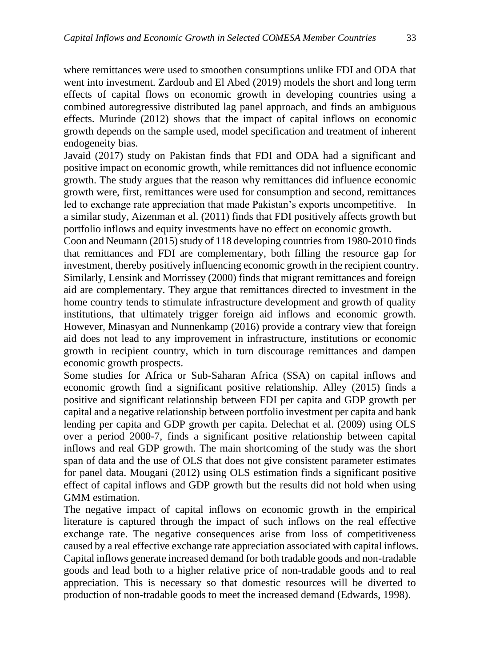where remittances were used to smoothen consumptions unlike FDI and ODA that went into investment. Zardoub and El Abed (2019) models the short and long term effects of capital flows on economic growth in developing countries using a combined autoregressive distributed lag panel approach, and finds an ambiguous effects. Murinde (2012) shows that the impact of capital inflows on economic growth depends on the sample used, model specification and treatment of inherent endogeneity bias.

Javaid (2017) study on Pakistan finds that FDI and ODA had a significant and positive impact on economic growth, while remittances did not influence economic growth. The study argues that the reason why remittances did influence economic growth were, first, remittances were used for consumption and second, remittances led to exchange rate appreciation that made Pakistan's exports uncompetitive. In a similar study, Aizenman et al. (2011) finds that FDI positively affects growth but portfolio inflows and equity investments have no effect on economic growth.

Coon and Neumann (2015) study of 118 developing countries from 1980-2010 finds that remittances and FDI are complementary, both filling the resource gap for investment, thereby positively influencing economic growth in the recipient country. Similarly, Lensink and Morrissey (2000) finds that migrant remittances and foreign aid are complementary. They argue that remittances directed to investment in the home country tends to stimulate infrastructure development and growth of quality institutions, that ultimately trigger foreign aid inflows and economic growth. However, Minasyan and Nunnenkamp (2016) provide a contrary view that foreign aid does not lead to any improvement in infrastructure, institutions or economic growth in recipient country, which in turn discourage remittances and dampen economic growth prospects.

Some studies for Africa or Sub-Saharan Africa (SSA) on capital inflows and economic growth find a significant positive relationship. Alley (2015) finds a positive and significant relationship between FDI per capita and GDP growth per capital and a negative relationship between portfolio investment per capita and bank lending per capita and GDP growth per capita. Delechat et al. (2009) using OLS over a period 2000-7, finds a significant positive relationship between capital inflows and real GDP growth. The main shortcoming of the study was the short span of data and the use of OLS that does not give consistent parameter estimates for panel data. Mougani (2012) using OLS estimation finds a significant positive effect of capital inflows and GDP growth but the results did not hold when using GMM estimation.

The negative impact of capital inflows on economic growth in the empirical literature is captured through the impact of such inflows on the real effective exchange rate. The negative consequences arise from loss of competitiveness caused by a real effective exchange rate appreciation associated with capital inflows. Capital inflows generate increased demand for both tradable goods and non-tradable goods and lead both to a higher relative price of non-tradable goods and to real appreciation. This is necessary so that domestic resources will be diverted to production of non-tradable goods to meet the increased demand (Edwards, 1998).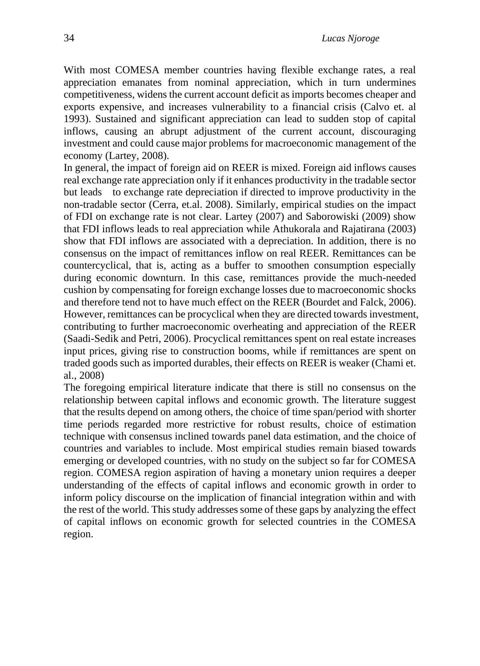With most COMESA member countries having flexible exchange rates, a real appreciation emanates from nominal appreciation, which in turn undermines competitiveness, widens the current account deficit as imports becomes cheaper and exports expensive, and increases vulnerability to a financial crisis (Calvo et. al 1993). Sustained and significant appreciation can lead to sudden stop of capital inflows, causing an abrupt adjustment of the current account, discouraging investment and could cause major problems for macroeconomic management of the economy (Lartey, 2008).

In general, the impact of foreign aid on REER is mixed. Foreign aid inflows causes real exchange rate appreciation only if it enhances productivity in the tradable sector but leads to exchange rate depreciation if directed to improve productivity in the non-tradable sector (Cerra, et.al. 2008). Similarly, empirical studies on the impact of FDI on exchange rate is not clear. Lartey (2007) and Saborowiski (2009) show that FDI inflows leads to real appreciation while Athukorala and Rajatirana (2003) show that FDI inflows are associated with a depreciation. In addition, there is no consensus on the impact of remittances inflow on real REER. Remittances can be countercyclical, that is, acting as a buffer to smoothen consumption especially during economic downturn. In this case, remittances provide the much-needed cushion by compensating for foreign exchange losses due to macroeconomic shocks and therefore tend not to have much effect on the REER (Bourdet and Falck, 2006). However, remittances can be procyclical when they are directed towards investment, contributing to further macroeconomic overheating and appreciation of the REER (Saadi-Sedik and Petri, 2006). Procyclical remittances spent on real estate increases input prices, giving rise to construction booms, while if remittances are spent on traded goods such as imported durables, their effects on REER is weaker (Chami et. al., 2008)

The foregoing empirical literature indicate that there is still no consensus on the relationship between capital inflows and economic growth. The literature suggest that the results depend on among others, the choice of time span/period with shorter time periods regarded more restrictive for robust results, choice of estimation technique with consensus inclined towards panel data estimation, and the choice of countries and variables to include. Most empirical studies remain biased towards emerging or developed countries, with no study on the subject so far for COMESA region. COMESA region aspiration of having a monetary union requires a deeper understanding of the effects of capital inflows and economic growth in order to inform policy discourse on the implication of financial integration within and with the rest of the world. This study addresses some of these gaps by analyzing the effect of capital inflows on economic growth for selected countries in the COMESA region.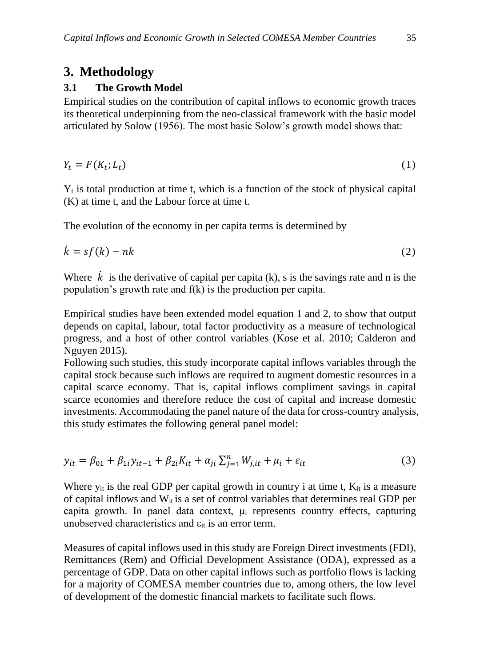# **3. Methodology**

## **3.1 The Growth Model**

Empirical studies on the contribution of capital inflows to economic growth traces its theoretical underpinning from the neo-classical framework with the basic model articulated by Solow (1956). The most basic Solow's growth model shows that:

$$
Y_t = F(K_t; L_t) \tag{1}
$$

 $Y_t$  is total production at time t, which is a function of the stock of physical capital (K) at time t, and the Labour force at time t.

The evolution of the economy in per capita terms is determined by

$$
\dot{k} = sf(k) - nk \tag{2}
$$

Where  $\dot{k}$  is the derivative of capital per capita (k), s is the savings rate and n is the population's growth rate and f(k) is the production per capita.

Empirical studies have been extended model equation 1 and 2, to show that output depends on capital, labour, total factor productivity as a measure of technological progress, and a host of other control variables (Kose et al. 2010; Calderon and Nguyen 2015).

Following such studies, this study incorporate capital inflows variables through the capital stock because such inflows are required to augment domestic resources in a capital scarce economy. That is, capital inflows compliment savings in capital scarce economies and therefore reduce the cost of capital and increase domestic investments. Accommodating the panel nature of the data for cross-country analysis, this study estimates the following general panel model:

$$
y_{it} = \beta_{01} + \beta_{1i} y_{it-1} + \beta_{2i} K_{it} + \alpha_{ji} \sum_{j=1}^{n} W_{j,it} + \mu_i + \varepsilon_{it}
$$
 (3)

Where  $y_{it}$  is the real GDP per capital growth in country i at time t,  $K_{it}$  is a measure of capital inflows and  $W_{it}$  is a set of control variables that determines real GDP per capita growth. In panel data context, μ<sup>i</sup> represents country effects, capturing unobserved characteristics and  $\varepsilon_{it}$  is an error term.

Measures of capital inflows used in this study are Foreign Direct investments (FDI), Remittances (Rem) and Official Development Assistance (ODA), expressed as a percentage of GDP. Data on other capital inflows such as portfolio flows is lacking for a majority of COMESA member countries due to, among others, the low level of development of the domestic financial markets to facilitate such flows.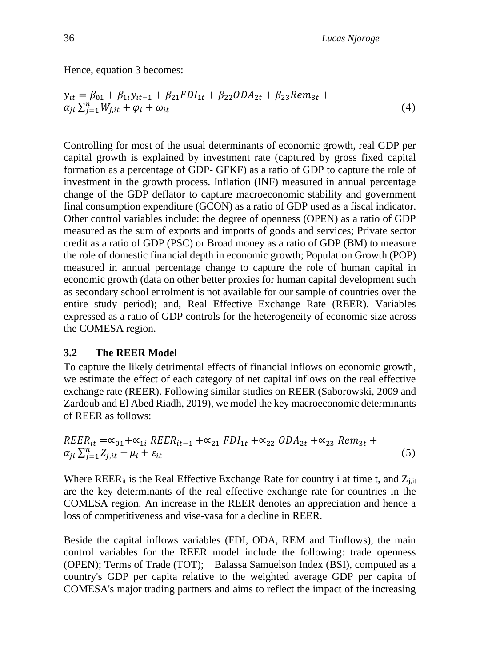Hence, equation 3 becomes:

$$
y_{it} = \beta_{01} + \beta_{1i} y_{it-1} + \beta_{21} FDI_{1t} + \beta_{22} ODA_{2t} + \beta_{23} Rem_{3t} + \alpha_{ji} \sum_{j=1}^{n} W_{j,it} + \varphi_i + \omega_{it}
$$
\n(4)

Controlling for most of the usual determinants of economic growth, real GDP per capital growth is explained by investment rate (captured by gross fixed capital formation as a percentage of GDP- GFKF) as a ratio of GDP to capture the role of investment in the growth process. Inflation (INF) measured in annual percentage change of the GDP deflator to capture macroeconomic stability and government final consumption expenditure (GCON) as a ratio of GDP used as a fiscal indicator. Other control variables include: the degree of openness (OPEN) as a ratio of GDP measured as the sum of exports and imports of goods and services; Private sector credit as a ratio of GDP (PSC) or Broad money as a ratio of GDP (BM) to measure the role of domestic financial depth in economic growth; Population Growth (POP) measured in annual percentage change to capture the role of human capital in economic growth (data on other better proxies for human capital development such as secondary school enrolment is not available for our sample of countries over the entire study period); and, Real Effective Exchange Rate (REER). Variables expressed as a ratio of GDP controls for the heterogeneity of economic size across the COMESA region.

#### **3.2 The REER Model**

To capture the likely detrimental effects of financial inflows on economic growth, we estimate the effect of each category of net capital inflows on the real effective exchange rate (REER). Following similar studies on REER (Saborowski, 2009 and Zardoub and El Abed Riadh, 2019), we model the key macroeconomic determinants of REER as follows:

$$
REER_{it} = \alpha_{01} + \alpha_{1i} \, REER_{it-1} + \alpha_{21} \, FDI_{1t} + \alpha_{22} \, ODA_{2t} + \alpha_{23} \, Rem_{3t} + \alpha_{ji} \, \sum_{j=1}^{n} Z_{j,it} + \mu_i + \varepsilon_{it}
$$
\n
$$
\tag{5}
$$

Where  $REER_{it}$  is the Real Effective Exchange Rate for country i at time t, and  $Z_{i,it}$ are the key determinants of the real effective exchange rate for countries in the COMESA region. An increase in the REER denotes an appreciation and hence a loss of competitiveness and vise-vasa for a decline in REER.

Beside the capital inflows variables (FDI, ODA, REM and Tinflows), the main control variables for the REER model include the following: trade openness (OPEN); Terms of Trade (TOT); Balassa Samuelson Index (BSI), computed as a country's GDP per capita relative to the weighted average GDP per capita of COMESA's major trading partners and aims to reflect the impact of the increasing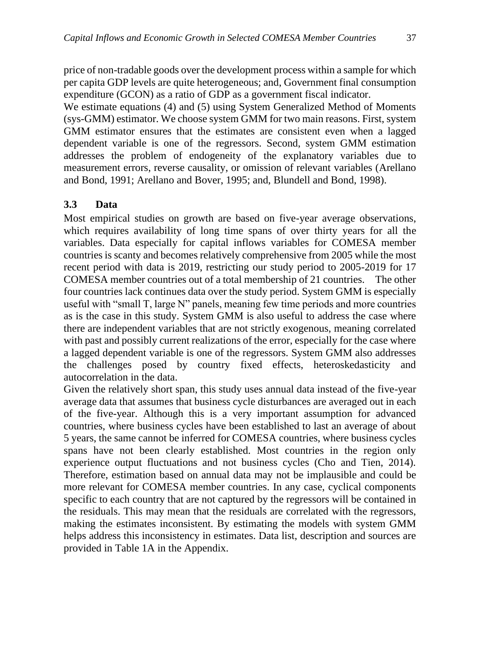price of non-tradable goods over the development process within a sample for which per capita GDP levels are quite heterogeneous; and, Government final consumption expenditure (GCON) as a ratio of GDP as a government fiscal indicator.

We estimate equations (4) and (5) using System Generalized Method of Moments (sys-GMM) estimator. We choose system GMM for two main reasons. First, system GMM estimator ensures that the estimates are consistent even when a lagged dependent variable is one of the regressors. Second, system GMM estimation addresses the problem of endogeneity of the explanatory variables due to measurement errors, reverse causality, or omission of relevant variables (Arellano and Bond, 1991; Arellano and Bover, 1995; and, Blundell and Bond, 1998).

## **3.3 Data**

Most empirical studies on growth are based on five-year average observations, which requires availability of long time spans of over thirty years for all the variables. Data especially for capital inflows variables for COMESA member countries is scanty and becomes relatively comprehensive from 2005 while the most recent period with data is 2019, restricting our study period to 2005-2019 for 17 COMESA member countries out of a total membership of 21 countries. The other four countries lack continues data over the study period. System GMM is especially useful with "small T, large N" panels, meaning few time periods and more countries as is the case in this study. System GMM is also useful to address the case where there are independent variables that are not strictly exogenous, meaning correlated with past and possibly current realizations of the error, especially for the case where a lagged dependent variable is one of the regressors. System GMM also addresses the challenges posed by country fixed effects, heteroskedasticity and autocorrelation in the data.

Given the relatively short span, this study uses annual data instead of the five-year average data that assumes that business cycle disturbances are averaged out in each of the five-year. Although this is a very important assumption for advanced countries, where business cycles have been established to last an average of about 5 years, the same cannot be inferred for COMESA countries, where business cycles spans have not been clearly established. Most countries in the region only experience output fluctuations and not business cycles (Cho and Tien, 2014). Therefore, estimation based on annual data may not be implausible and could be more relevant for COMESA member countries. In any case, cyclical components specific to each country that are not captured by the regressors will be contained in the residuals. This may mean that the residuals are correlated with the regressors, making the estimates inconsistent. By estimating the models with system GMM helps address this inconsistency in estimates. Data list, description and sources are provided in Table 1A in the Appendix.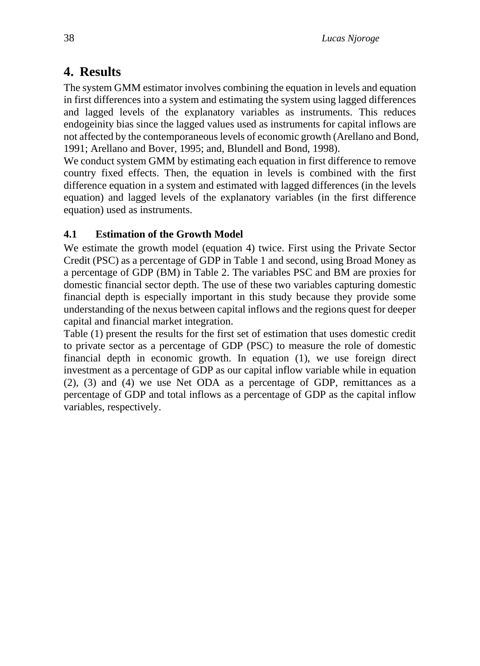# **4. Results**

The system GMM estimator involves combining the equation in levels and equation in first differences into a system and estimating the system using lagged differences and lagged levels of the explanatory variables as instruments. This reduces endogeinity bias since the lagged values used as instruments for capital inflows are not affected by the contemporaneous levels of economic growth (Arellano and Bond, 1991; Arellano and Bover, 1995; and, Blundell and Bond, 1998).

We conduct system GMM by estimating each equation in first difference to remove country fixed effects. Then, the equation in levels is combined with the first difference equation in a system and estimated with lagged differences (in the levels equation) and lagged levels of the explanatory variables (in the first difference equation) used as instruments.

## **4.1 Estimation of the Growth Model**

We estimate the growth model (equation 4) twice. First using the Private Sector Credit (PSC) as a percentage of GDP in Table 1 and second, using Broad Money as a percentage of GDP (BM) in Table 2. The variables PSC and BM are proxies for domestic financial sector depth. The use of these two variables capturing domestic financial depth is especially important in this study because they provide some understanding of the nexus between capital inflows and the regions quest for deeper capital and financial market integration.

Table (1) present the results for the first set of estimation that uses domestic credit to private sector as a percentage of GDP (PSC) to measure the role of domestic financial depth in economic growth. In equation (1), we use foreign direct investment as a percentage of GDP as our capital inflow variable while in equation (2), (3) and (4) we use Net ODA as a percentage of GDP, remittances as a percentage of GDP and total inflows as a percentage of GDP as the capital inflow variables, respectively.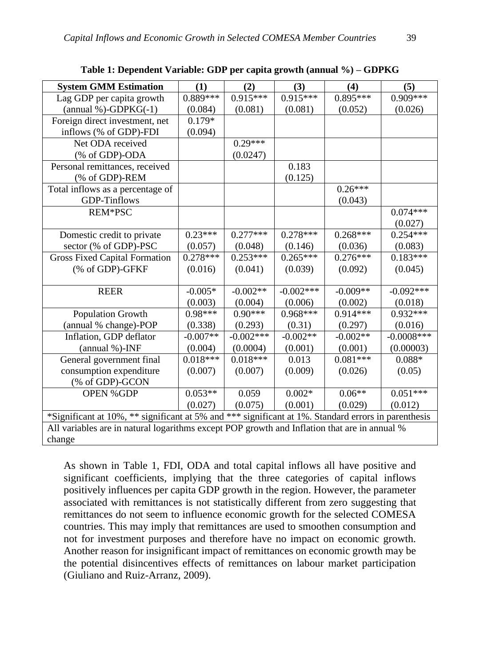| <b>System GMM Estimation</b>                                                                        | (1)        | (2)         | (3)         | (4)        | (5)           |  |
|-----------------------------------------------------------------------------------------------------|------------|-------------|-------------|------------|---------------|--|
| Lag GDP per capita growth                                                                           | 0.889***   | $0.915***$  | $0.915***$  | $0.895***$ | $0.909***$    |  |
| $(annual \%)-GDPKG(-1)$                                                                             | (0.084)    | (0.081)     | (0.081)     | (0.052)    | (0.026)       |  |
| Foreign direct investment, net                                                                      | $0.179*$   |             |             |            |               |  |
| inflows (% of GDP)-FDI                                                                              | (0.094)    |             |             |            |               |  |
| Net ODA received                                                                                    |            | $0.29***$   |             |            |               |  |
| (% of GDP)-ODA                                                                                      |            | (0.0247)    |             |            |               |  |
| Personal remittances, received                                                                      |            |             | 0.183       |            |               |  |
| (% of GDP)-REM                                                                                      |            |             | (0.125)     |            |               |  |
| Total inflows as a percentage of                                                                    |            |             |             | $0.26***$  |               |  |
| <b>GDP-Tinflows</b>                                                                                 |            |             |             | (0.043)    |               |  |
| <b>REM*PSC</b>                                                                                      |            |             |             |            | $0.074***$    |  |
|                                                                                                     |            |             |             |            | (0.027)       |  |
| Domestic credit to private                                                                          | $0.23***$  | $0.277***$  | $0.278***$  | $0.268***$ | $0.254***$    |  |
| sector (% of GDP)-PSC                                                                               | (0.057)    | (0.048)     | (0.146)     | (0.036)    | (0.083)       |  |
| <b>Gross Fixed Capital Formation</b>                                                                | $0.278***$ | $0.253***$  | $0.265***$  | $0.276***$ | $0.183***$    |  |
| (% of GDP)-GFKF                                                                                     | (0.016)    | (0.041)     | (0.039)     | (0.092)    | (0.045)       |  |
|                                                                                                     |            |             |             |            |               |  |
| <b>REER</b>                                                                                         | $-0.005*$  | $-0.002**$  | $-0.002***$ | $-0.009**$ | $-0.092***$   |  |
|                                                                                                     | (0.003)    | (0.004)     | (0.006)     | (0.002)    | (0.018)       |  |
| <b>Population Growth</b>                                                                            | $0.98***$  | $0.90***$   | $0.968***$  | $0.914***$ | $0.932***$    |  |
| (annual % change)-POP                                                                               | (0.338)    | (0.293)     | (0.31)      | (0.297)    | (0.016)       |  |
| Inflation, GDP deflator                                                                             | $-0.007**$ | $-0.002***$ | $-0.002**$  | $-0.002**$ | $-0.0008$ *** |  |
| (annual %)-INF                                                                                      | (0.004)    | (0.0004)    | (0.001)     | (0.001)    | (0.00003)     |  |
| General government final                                                                            | $0.018***$ | $0.018***$  | 0.013       | $0.081***$ | $0.088*$      |  |
| consumption expenditure                                                                             | (0.007)    | (0.007)     | (0.009)     | (0.026)    | (0.05)        |  |
| (% of GDP)-GCON                                                                                     |            |             |             |            |               |  |
| <b>OPEN %GDP</b>                                                                                    | $0.053**$  | 0.059       | $0.002*$    | $0.06**$   | $0.051***$    |  |
|                                                                                                     | (0.027)    | (0.075)     | (0.001)     | (0.029)    | (0.012)       |  |
| *Significant at 10%, ** significant at 5% and *** significant at 1%. Standard errors in parenthesis |            |             |             |            |               |  |
| All variables are in natural logarithms except POP growth and Inflation that are in annual %        |            |             |             |            |               |  |
| change                                                                                              |            |             |             |            |               |  |

**Table 1: Dependent Variable: GDP per capita growth (annual %) – GDPKG**

As shown in Table 1, FDI, ODA and total capital inflows all have positive and significant coefficients, implying that the three categories of capital inflows positively influences per capita GDP growth in the region. However, the parameter associated with remittances is not statistically different from zero suggesting that remittances do not seem to influence economic growth for the selected COMESA countries. This may imply that remittances are used to smoothen consumption and not for investment purposes and therefore have no impact on economic growth. Another reason for insignificant impact of remittances on economic growth may be the potential disincentives effects of remittances on labour market participation (Giuliano and Ruiz-Arranz, 2009).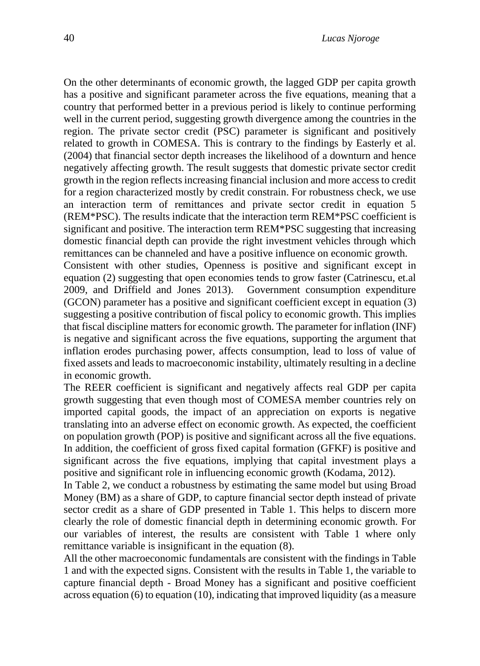On the other determinants of economic growth, the lagged GDP per capita growth has a positive and significant parameter across the five equations, meaning that a country that performed better in a previous period is likely to continue performing well in the current period, suggesting growth divergence among the countries in the region. The private sector credit (PSC) parameter is significant and positively related to growth in COMESA. This is contrary to the findings by Easterly et al. (2004) that financial sector depth increases the likelihood of a downturn and hence negatively affecting growth. The result suggests that domestic private sector credit growth in the region reflects increasing financial inclusion and more access to credit for a region characterized mostly by credit constrain. For robustness check, we use an interaction term of remittances and private sector credit in equation 5 (REM\*PSC). The results indicate that the interaction term REM\*PSC coefficient is significant and positive. The interaction term REM\*PSC suggesting that increasing domestic financial depth can provide the right investment vehicles through which remittances can be channeled and have a positive influence on economic growth.

Consistent with other studies, Openness is positive and significant except in equation (2) suggesting that open economies tends to grow faster (Catrinescu, et.al 2009, and Driffield and Jones 2013). Government consumption expenditure (GCON) parameter has a positive and significant coefficient except in equation (3) suggesting a positive contribution of fiscal policy to economic growth. This implies that fiscal discipline matters for economic growth. The parameter for inflation (INF) is negative and significant across the five equations, supporting the argument that inflation erodes purchasing power, affects consumption, lead to loss of value of fixed assets and leads to macroeconomic instability, ultimately resulting in a decline in economic growth.

The REER coefficient is significant and negatively affects real GDP per capita growth suggesting that even though most of COMESA member countries rely on imported capital goods, the impact of an appreciation on exports is negative translating into an adverse effect on economic growth. As expected, the coefficient on population growth (POP) is positive and significant across all the five equations. In addition, the coefficient of gross fixed capital formation (GFKF) is positive and significant across the five equations, implying that capital investment plays a positive and significant role in influencing economic growth (Kodama, 2012).

In Table 2, we conduct a robustness by estimating the same model but using Broad Money (BM) as a share of GDP, to capture financial sector depth instead of private sector credit as a share of GDP presented in Table 1. This helps to discern more clearly the role of domestic financial depth in determining economic growth. For our variables of interest, the results are consistent with Table 1 where only remittance variable is insignificant in the equation (8).

All the other macroeconomic fundamentals are consistent with the findings in Table 1 and with the expected signs. Consistent with the results in Table 1, the variable to capture financial depth - Broad Money has a significant and positive coefficient across equation (6) to equation (10), indicating that improved liquidity (as a measure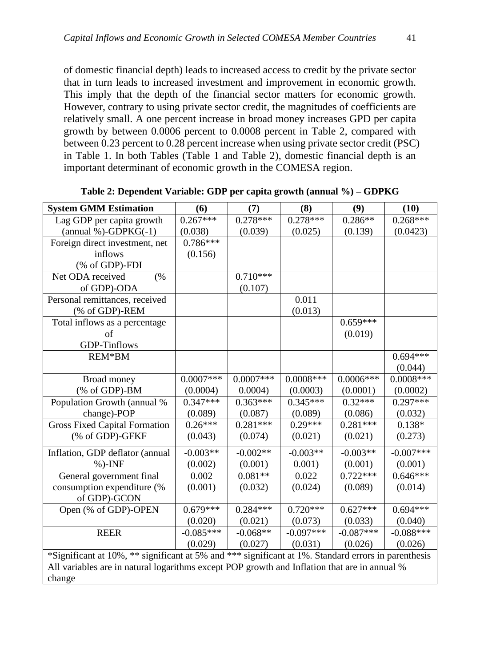of domestic financial depth) leads to increased access to credit by the private sector that in turn leads to increased investment and improvement in economic growth. This imply that the depth of the financial sector matters for economic growth. However, contrary to using private sector credit, the magnitudes of coefficients are relatively small. A one percent increase in broad money increases GPD per capita growth by between 0.0006 percent to 0.0008 percent in Table 2, compared with between 0.23 percent to 0.28 percent increase when using private sector credit (PSC) in Table 1. In both Tables (Table 1 and Table 2), domestic financial depth is an important determinant of economic growth in the COMESA region.

| <b>System GMM Estimation</b>                                                                        | (6)         | (7)         | (8)         | (9)         | (10)        |
|-----------------------------------------------------------------------------------------------------|-------------|-------------|-------------|-------------|-------------|
| Lag GDP per capita growth                                                                           | $0.267***$  | $0.278***$  | $0.278***$  | $0.286**$   | $0.268***$  |
| (annual %)-GDPK $G(-1)$                                                                             | (0.038)     | (0.039)     | (0.025)     | (0.139)     | (0.0423)    |
| Foreign direct investment, net                                                                      | $0.786***$  |             |             |             |             |
| inflows                                                                                             | (0.156)     |             |             |             |             |
| (% of GDP)-FDI                                                                                      |             |             |             |             |             |
| Net ODA received<br>(%                                                                              |             | $0.710***$  |             |             |             |
| of GDP)-ODA                                                                                         |             | (0.107)     |             |             |             |
| Personal remittances, received                                                                      |             |             | 0.011       |             |             |
| (% of GDP)-REM                                                                                      |             |             | (0.013)     |             |             |
| Total inflows as a percentage                                                                       |             |             |             | $0.659***$  |             |
| of                                                                                                  |             |             |             | (0.019)     |             |
| <b>GDP-Tinflows</b>                                                                                 |             |             |             |             |             |
| REM*BM                                                                                              |             |             |             |             | $0.694***$  |
|                                                                                                     |             |             |             |             | (0.044)     |
| Broad money                                                                                         | $0.0007***$ | $0.0007***$ | $0.0008***$ | $0.0006***$ | $0.0008***$ |
| (% of GDP)-BM                                                                                       | (0.0004)    | 0.0004)     | (0.0003)    | (0.0001)    | (0.0002)    |
| Population Growth (annual %                                                                         | $0.347***$  | $0.363***$  | $0.345***$  | $0.32***$   | $0.297***$  |
| change)-POP                                                                                         | (0.089)     | (0.087)     | (0.089)     | (0.086)     | (0.032)     |
| <b>Gross Fixed Capital Formation</b>                                                                | $0.26***$   | $0.281***$  | $0.29***$   | $0.281***$  | $0.138*$    |
| (% of GDP)-GFKF                                                                                     | (0.043)     | (0.074)     | (0.021)     | (0.021)     | (0.273)     |
| Inflation, GDP deflator (annual                                                                     | $-0.003**$  | $-0.002**$  | $-0.003**$  | $-0.003**$  | $-0.007***$ |
| $%$ )-INF                                                                                           | (0.002)     | (0.001)     | 0.001)      | (0.001)     | (0.001)     |
| General government final                                                                            | 0.002       | $0.081**$   | 0.022       | $0.722***$  | $0.646***$  |
| consumption expenditure (%                                                                          | (0.001)     | (0.032)     | (0.024)     | (0.089)     | (0.014)     |
| of GDP)-GCON                                                                                        |             |             |             |             |             |
| Open (% of GDP)-OPEN                                                                                | $0.679***$  | $0.284***$  | $0.720***$  | $0.627***$  | $0.694***$  |
|                                                                                                     | (0.020)     | (0.021)     | (0.073)     | (0.033)     | (0.040)     |
| <b>REER</b>                                                                                         | $-0.085***$ | $-0.068**$  | $-0.097***$ | $-0.087***$ | $-0.088***$ |
|                                                                                                     | (0.029)     | (0.027)     | (0.031)     | (0.026)     | (0.026)     |
| *Significant at 10%, ** significant at 5% and *** significant at 1%. Standard errors in parenthesis |             |             |             |             |             |
| All variables are in natural logarithms except POP growth and Inflation that are in annual %        |             |             |             |             |             |
| change                                                                                              |             |             |             |             |             |

**Table 2: Dependent Variable: GDP per capita growth (annual %) – GDPKG**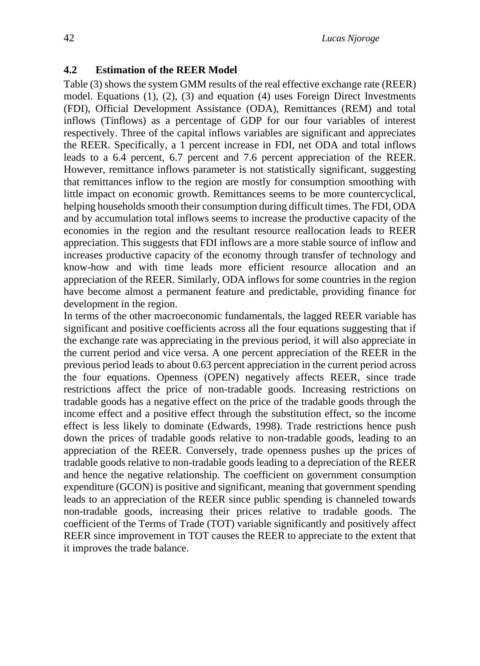#### **4.2 Estimation of the REER Model**

Table (3) shows the system GMM results of the real effective exchange rate (REER) model. Equations (1), (2), (3) and equation (4) uses Foreign Direct Investments (FDI), Official Development Assistance (ODA), Remittances (REM) and total inflows (Tinflows) as a percentage of GDP for our four variables of interest respectively. Three of the capital inflows variables are significant and appreciates the REER. Specifically, a 1 percent increase in FDI, net ODA and total inflows leads to a 6.4 percent, 6.7 percent and 7.6 percent appreciation of the REER. However, remittance inflows parameter is not statistically significant, suggesting that remittances inflow to the region are mostly for consumption smoothing with little impact on economic growth. Remittances seems to be more countercyclical, helping households smooth their consumption during difficult times. The FDI, ODA and by accumulation total inflows seems to increase the productive capacity of the economies in the region and the resultant resource reallocation leads to REER appreciation. This suggests that FDI inflows are a more stable source of inflow and increases productive capacity of the economy through transfer of technology and know-how and with time leads more efficient resource allocation and an appreciation of the REER. Similarly, ODA inflows for some countries in the region have become almost a permanent feature and predictable, providing finance for development in the region.

In terms of the other macroeconomic fundamentals, the lagged REER variable has significant and positive coefficients across all the four equations suggesting that if the exchange rate was appreciating in the previous period, it will also appreciate in the current period and vice versa. A one percent appreciation of the REER in the previous period leads to about 0.63 percent appreciation in the current period across the four equations. Openness (OPEN) negatively affects REER, since trade restrictions affect the price of non-tradable goods. Increasing restrictions on tradable goods has a negative effect on the price of the tradable goods through the income effect and a positive effect through the substitution effect, so the income effect is less likely to dominate (Edwards, 1998). Trade restrictions hence push down the prices of tradable goods relative to non-tradable goods, leading to an appreciation of the REER. Conversely, trade openness pushes up the prices of tradable goods relative to non-tradable goods leading to a depreciation of the REER and hence the negative relationship. The coefficient on government consumption expenditure (GCON) is positive and significant, meaning that government spending leads to an appreciation of the REER since public spending is channeled towards non-tradable goods, increasing their prices relative to tradable goods. The coefficient of the Terms of Trade (TOT) variable significantly and positively affect REER since improvement in TOT causes the REER to appreciate to the extent that it improves the trade balance.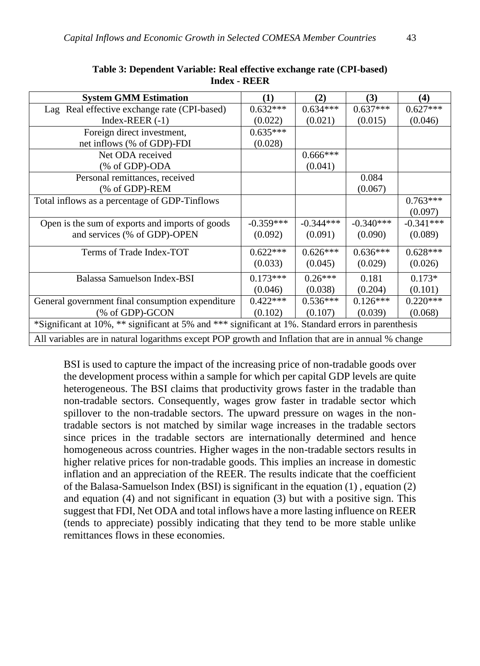| <b>System GMM Estimation</b>                                                                        | <b>(1)</b>  | (2)         | (3)         | (4)         |
|-----------------------------------------------------------------------------------------------------|-------------|-------------|-------------|-------------|
| Lag Real effective exchange rate (CPI-based)                                                        | $0.632***$  | $0.634***$  | $0.637***$  | $0.627***$  |
| Index-REER $(-1)$                                                                                   | (0.022)     | (0.021)     | (0.015)     | (0.046)     |
| Foreign direct investment,                                                                          | $0.635***$  |             |             |             |
| net inflows (% of GDP)-FDI                                                                          | (0.028)     |             |             |             |
| Net ODA received                                                                                    |             | $0.666***$  |             |             |
| (% of GDP)-ODA                                                                                      |             | (0.041)     |             |             |
| Personal remittances, received                                                                      |             |             | 0.084       |             |
| (% of GDP)-REM                                                                                      |             |             | (0.067)     |             |
| Total inflows as a percentage of GDP-Tinflows                                                       |             |             |             | $0.763***$  |
|                                                                                                     |             |             |             | (0.097)     |
| Open is the sum of exports and imports of goods                                                     | $-0.359***$ | $-0.344***$ | $-0.340***$ | $-0.341***$ |
| and services (% of GDP)-OPEN                                                                        | (0.092)     | (0.091)     | (0.090)     | (0.089)     |
| Terms of Trade Index-TOT                                                                            | $0.622***$  | $0.626***$  | $0.636***$  | $0.628***$  |
|                                                                                                     | (0.033)     | (0.045)     | (0.029)     | (0.026)     |
| Balassa Samuelson Index-BSI                                                                         | $0.173***$  | $0.26***$   | 0.181       | $0.173*$    |
|                                                                                                     | (0.046)     | (0.038)     | (0.204)     | (0.101)     |
| General government final consumption expenditure                                                    | $0.422***$  | $0.536***$  | $0.126***$  | $0.220***$  |
| (% of GDP)-GCON                                                                                     | (0.102)     | (0.107)     | (0.039)     | (0.068)     |
| *Significant at 10%, ** significant at 5% and *** significant at 1%. Standard errors in parenthesis |             |             |             |             |
| All variables are in natural logarithms except POP growth and Inflation that are in annual % change |             |             |             |             |

**Table 3: Dependent Variable: Real effective exchange rate (CPI-based) Index - REER**

BSI is used to capture the impact of the increasing price of non-tradable goods over the development process within a sample for which per capital GDP levels are quite heterogeneous. The BSI claims that productivity grows faster in the tradable than non-tradable sectors. Consequently, wages grow faster in tradable sector which spillover to the non-tradable sectors. The upward pressure on wages in the nontradable sectors is not matched by similar wage increases in the tradable sectors since prices in the tradable sectors are internationally determined and hence homogeneous across countries. Higher wages in the non-tradable sectors results in higher relative prices for non-tradable goods. This implies an increase in domestic inflation and an appreciation of the REER. The results indicate that the coefficient of the Balasa-Samuelson Index (BSI) is significant in the equation (1) , equation (2) and equation (4) and not significant in equation (3) but with a positive sign. This suggest that FDI, Net ODA and total inflows have a more lasting influence on REER (tends to appreciate) possibly indicating that they tend to be more stable unlike remittances flows in these economies.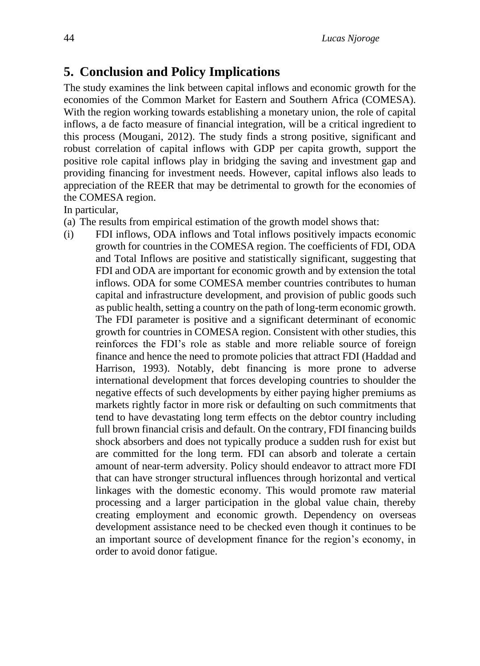# **5. Conclusion and Policy Implications**

The study examines the link between capital inflows and economic growth for the economies of the Common Market for Eastern and Southern Africa (COMESA). With the region working towards establishing a monetary union, the role of capital inflows, a de facto measure of financial integration, will be a critical ingredient to this process (Mougani, 2012). The study finds a strong positive, significant and robust correlation of capital inflows with GDP per capita growth, support the positive role capital inflows play in bridging the saving and investment gap and providing financing for investment needs. However, capital inflows also leads to appreciation of the REER that may be detrimental to growth for the economies of the COMESA region.

In particular,

- (a) The results from empirical estimation of the growth model shows that:
- (i) FDI inflows, ODA inflows and Total inflows positively impacts economic growth for countries in the COMESA region. The coefficients of FDI, ODA and Total Inflows are positive and statistically significant, suggesting that FDI and ODA are important for economic growth and by extension the total inflows. ODA for some COMESA member countries contributes to human capital and infrastructure development, and provision of public goods such as public health, setting a country on the path of long-term economic growth. The FDI parameter is positive and a significant determinant of economic growth for countries in COMESA region. Consistent with other studies, this reinforces the FDI's role as stable and more reliable source of foreign finance and hence the need to promote policies that attract FDI (Haddad and Harrison, 1993). Notably, debt financing is more prone to adverse international development that forces developing countries to shoulder the negative effects of such developments by either paying higher premiums as markets rightly factor in more risk or defaulting on such commitments that tend to have devastating long term effects on the debtor country including full brown financial crisis and default. On the contrary, FDI financing builds shock absorbers and does not typically produce a sudden rush for exist but are committed for the long term. FDI can absorb and tolerate a certain amount of near-term adversity. Policy should endeavor to attract more FDI that can have stronger structural influences through horizontal and vertical linkages with the domestic economy. This would promote raw material processing and a larger participation in the global value chain, thereby creating employment and economic growth. Dependency on overseas development assistance need to be checked even though it continues to be an important source of development finance for the region's economy, in order to avoid donor fatigue.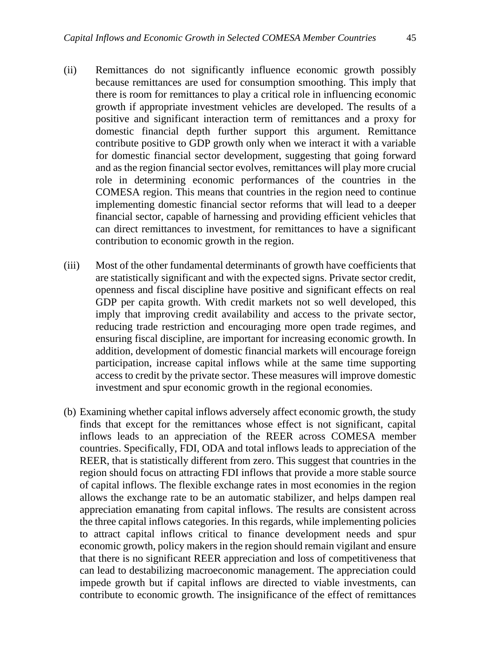- (ii) Remittances do not significantly influence economic growth possibly because remittances are used for consumption smoothing. This imply that there is room for remittances to play a critical role in influencing economic growth if appropriate investment vehicles are developed. The results of a positive and significant interaction term of remittances and a proxy for domestic financial depth further support this argument. Remittance contribute positive to GDP growth only when we interact it with a variable for domestic financial sector development, suggesting that going forward and as the region financial sector evolves, remittances will play more crucial role in determining economic performances of the countries in the COMESA region. This means that countries in the region need to continue implementing domestic financial sector reforms that will lead to a deeper financial sector, capable of harnessing and providing efficient vehicles that can direct remittances to investment, for remittances to have a significant contribution to economic growth in the region.
- (iii) Most of the other fundamental determinants of growth have coefficients that are statistically significant and with the expected signs. Private sector credit, openness and fiscal discipline have positive and significant effects on real GDP per capita growth. With credit markets not so well developed, this imply that improving credit availability and access to the private sector, reducing trade restriction and encouraging more open trade regimes, and ensuring fiscal discipline, are important for increasing economic growth. In addition, development of domestic financial markets will encourage foreign participation, increase capital inflows while at the same time supporting access to credit by the private sector. These measures will improve domestic investment and spur economic growth in the regional economies.
- (b) Examining whether capital inflows adversely affect economic growth, the study finds that except for the remittances whose effect is not significant, capital inflows leads to an appreciation of the REER across COMESA member countries. Specifically, FDI, ODA and total inflows leads to appreciation of the REER, that is statistically different from zero. This suggest that countries in the region should focus on attracting FDI inflows that provide a more stable source of capital inflows. The flexible exchange rates in most economies in the region allows the exchange rate to be an automatic stabilizer, and helps dampen real appreciation emanating from capital inflows. The results are consistent across the three capital inflows categories. In this regards, while implementing policies to attract capital inflows critical to finance development needs and spur economic growth, policy makers in the region should remain vigilant and ensure that there is no significant REER appreciation and loss of competitiveness that can lead to destabilizing macroeconomic management. The appreciation could impede growth but if capital inflows are directed to viable investments, can contribute to economic growth. The insignificance of the effect of remittances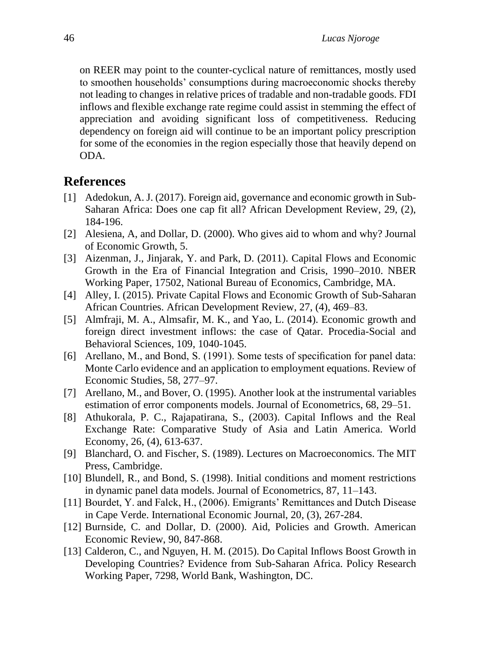on REER may point to the counter-cyclical nature of remittances, mostly used to smoothen households' consumptions during macroeconomic shocks thereby not leading to changes in relative prices of tradable and non-tradable goods. FDI inflows and flexible exchange rate regime could assist in stemming the effect of appreciation and avoiding significant loss of competitiveness. Reducing dependency on foreign aid will continue to be an important policy prescription for some of the economies in the region especially those that heavily depend on ODA.

## **References**

- [1] Adedokun, A. J. (2017). Foreign aid, governance and economic growth in Sub-Saharan Africa: Does one cap fit all? African Development Review, 29, (2), 184-196.
- [2] Alesiena, A, and Dollar, D. (2000). Who gives aid to whom and why? Journal of Economic Growth, 5.
- [3] Aizenman, J., Jinjarak, Y. and Park, D. (2011). Capital Flows and Economic Growth in the Era of Financial Integration and Crisis, 1990–2010. NBER Working Paper, 17502, National Bureau of Economics, Cambridge, MA.
- [4] Alley, I. (2015). Private Capital Flows and Economic Growth of Sub-Saharan African Countries. African Development Review, 27, (4), 469–83.
- [5] Almfraji, M. A., Almsafir, M. K., and Yao, L. (2014). Economic growth and foreign direct investment inflows: the case of Qatar. Procedia-Social and Behavioral Sciences, 109, 1040-1045.
- [6] Arellano, M., and Bond, S. (1991). Some tests of specification for panel data: Monte Carlo evidence and an application to employment equations. Review of Economic Studies, 58, 277–97.
- [7] Arellano, M., and Bover, O. (1995). Another look at the instrumental variables estimation of error components models. Journal of Econometrics, 68, 29–51.
- [8] Athukorala, P. C., Rajapatirana, S., (2003). Capital Inflows and the Real Exchange Rate: Comparative Study of Asia and Latin America. World Economy, 26, (4), 613-637.
- [9] Blanchard, O. and Fischer, S. (1989). Lectures on Macroeconomics. The MIT Press, Cambridge.
- [10] Blundell, R., and Bond, S. (1998). Initial conditions and moment restrictions in dynamic panel data models. Journal of Econometrics, 87, 11–143.
- [11] Bourdet, Y. and Falck, H., (2006). Emigrants' Remittances and Dutch Disease in Cape Verde. International Economic Journal, 20, (3), 267-284.
- [12] Burnside, C. and Dollar, D. (2000). Aid, Policies and Growth. American Economic Review, 90, 847-868.
- [13] Calderon, C., and Nguyen, H. M. (2015). Do Capital Inflows Boost Growth in Developing Countries? Evidence from Sub-Saharan Africa. Policy Research Working Paper, 7298, World Bank, Washington, DC.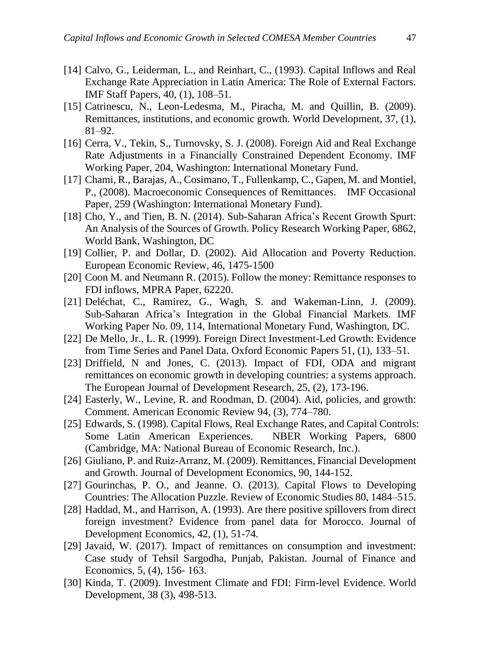- [14] Calvo, G., Leiderman, L., and Reinhart, C., (1993). Capital Inflows and Real Exchange Rate Appreciation in Latin America: The Role of External Factors. IMF Staff Papers, 40, (1), 108–51.
- [15] Catrinescu, N., Leon-Ledesma, M., Piracha, M. and Quillin, B. (2009). Remittances, institutions, and economic growth. World Development, 37, (1), 81–92.
- [16] Cerra, V., Tekin, S., Turnovsky, S. J. (2008). Foreign Aid and Real Exchange Rate Adjustments in a Financially Constrained Dependent Economy. IMF Working Paper, 204, Washington: International Monetary Fund.
- [17] Chami, R., Barajas, A., Cosimano, T., Fullenkamp, C., Gapen, M. and Montiel, P., (2008). Macroeconomic Consequences of Remittances. IMF Occasional Paper, 259 (Washington: International Monetary Fund).
- [18] Cho, Y., and Tien, B. N. (2014). Sub-Saharan Africa's Recent Growth Spurt: An Analysis of the Sources of Growth. Policy Research Working Paper, 6862, World Bank, Washington, DC
- [19] Collier, P. and Dollar, D. (2002). Aid Allocation and Poverty Reduction. European Economic Review, 46, 1475-1500
- [20] Coon M. and Neumann R. (2015). Follow the money: Remittance responses to FDI inflows, MPRA Paper, 62220.
- [21] Deléchat, C., Ramirez, G., Wagh, S. and Wakeman-Linn, J. (2009). Sub-Saharan Africa's Integration in the Global Financial Markets. IMF Working Paper No. 09, 114, International Monetary Fund, Washington, DC.
- [22] De Mello, Jr., L. R. (1999). Foreign Direct Investment-Led Growth: Evidence from Time Series and Panel Data. Oxford Economic Papers 51, (1), 133–51.
- [23] Driffield, N and Jones, C. (2013). Impact of FDI, ODA and migrant remittances on economic growth in developing countries: a systems approach. The European Journal of Development Research, 25, (2), 173-196.
- [24] Easterly, W., Levine, R. and Roodman, D. (2004). Aid, policies, and growth: Comment. American Economic Review 94, (3), 774–780.
- [25] Edwards, S. (1998). Capital Flows, Real Exchange Rates, and Capital Controls: Some Latin American Experiences. NBER Working Papers, 6800 (Cambridge, MA: National Bureau of Economic Research, Inc.).
- [26] Giuliano, P. and Ruiz-Arranz, M. (2009). Remittances, Financial Development and Growth. Journal of Development Economics, 90, 144-152.
- [27] Gourinchas, P. O., and Jeanne. O. (2013). Capital Flows to Developing Countries: The Allocation Puzzle. Review of Economic Studies 80, 1484–515.
- [28] Haddad, M., and Harrison, A. (1993). Are there positive spillovers from direct foreign investment? Evidence from panel data for Morocco. Journal of Development Economics, 42, (1), 51-74.
- [29] Javaid, W. (2017). Impact of remittances on consumption and investment: Case study of Tehsil Sargodha, Punjab, Pakistan. Journal of Finance and Economics, 5, (4), 156- 163.
- [30] Kinda, T. (2009). Investment Climate and FDI: Firm-level Evidence. World Development, 38 (3), 498-513.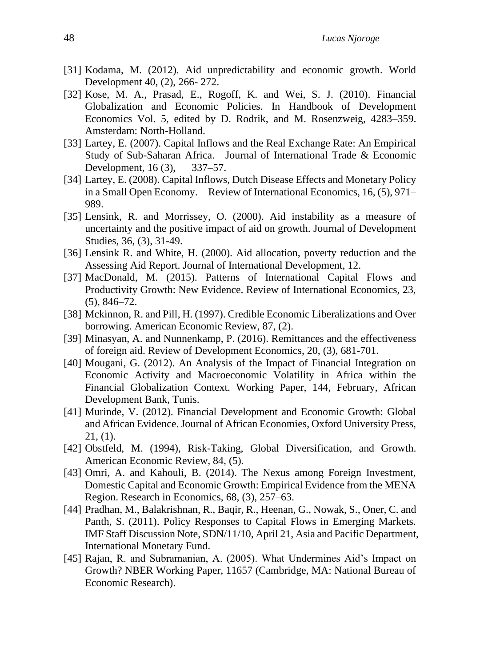- [31] Kodama, M. (2012). Aid unpredictability and economic growth. World Development 40, (2), 266- 272.
- [32] Kose, M. A., Prasad, E., Rogoff, K. and Wei, S. J. (2010). Financial Globalization and Economic Policies. In Handbook of Development Economics Vol. 5, edited by D. Rodrik, and M. Rosenzweig, 4283–359. Amsterdam: North-Holland.
- [33] Lartey, E. (2007). Capital Inflows and the Real Exchange Rate: An Empirical Study of Sub-Saharan Africa. Journal of International Trade & Economic Development, 16 (3), 337–57.
- [34] Lartey, E. (2008). Capital Inflows, Dutch Disease Effects and Monetary Policy in a Small Open Economy. Review of International Economics, 16, (5), 971– 989.
- [35] Lensink, R. and Morrissey, O. (2000). Aid instability as a measure of uncertainty and the positive impact of aid on growth. Journal of Development Studies, 36, (3), 31-49.
- [36] Lensink R. and White, H. (2000). Aid allocation, poverty reduction and the Assessing Aid Report. Journal of International Development, 12.
- [37] MacDonald, M. (2015). Patterns of International Capital Flows and Productivity Growth: New Evidence. Review of International Economics, 23, (5), 846–72.
- [38] Mckinnon, R. and Pill, H. (1997). Credible Economic Liberalizations and Over borrowing. American Economic Review, 87, (2).
- [39] Minasyan, A. and Nunnenkamp, P. (2016). Remittances and the effectiveness of foreign aid. Review of Development Economics, 20, (3), 681-701.
- [40] Mougani, G. (2012). An Analysis of the Impact of Financial Integration on Economic Activity and Macroeconomic Volatility in Africa within the Financial Globalization Context. Working Paper, 144, February, African Development Bank, Tunis.
- [41] Murinde, V. (2012). Financial Development and Economic Growth: Global and African Evidence. Journal of African Economies, Oxford University Press, 21, (1).
- [42] Obstfeld, M. (1994), Risk-Taking, Global Diversification, and Growth. American Economic Review, 84, (5).
- [43] Omri, A. and Kahouli, B. (2014). The Nexus among Foreign Investment, Domestic Capital and Economic Growth: Empirical Evidence from the MENA Region. Research in Economics, 68, (3), 257–63.
- [44] Pradhan, M., Balakrishnan, R., Baqir, R., Heenan, G., Nowak, S., Oner, C. and Panth, S. (2011). Policy Responses to Capital Flows in Emerging Markets. IMF Staff Discussion Note, SDN/11/10, April 21, Asia and Pacific Department, International Monetary Fund.
- [45] Rajan, R. and Subramanian, A. (2005). What Undermines Aid's Impact on Growth? NBER Working Paper, 11657 (Cambridge, MA: National Bureau of Economic Research).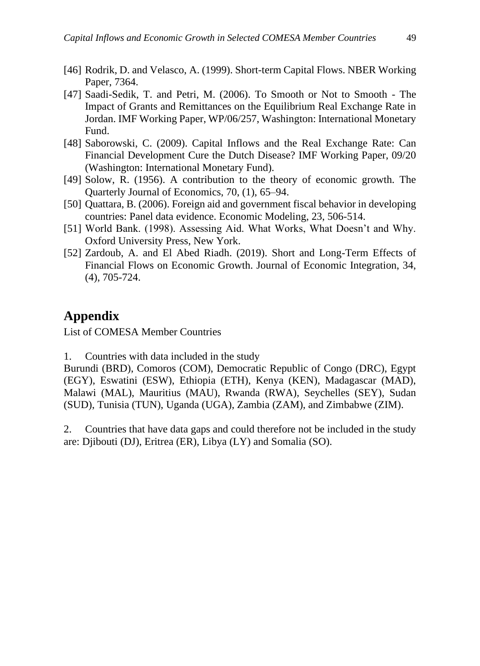- [46] Rodrik, D. and Velasco, A. (1999). Short-term Capital Flows. NBER Working Paper, 7364.
- [47] Saadi-Sedik, T. and Petri, M. (2006). To Smooth or Not to Smooth The Impact of Grants and Remittances on the Equilibrium Real Exchange Rate in Jordan. IMF Working Paper, WP/06/257, Washington: International Monetary Fund.
- [48] Saborowski, C. (2009). Capital Inflows and the Real Exchange Rate: Can Financial Development Cure the Dutch Disease? IMF Working Paper, 09/20 (Washington: International Monetary Fund).
- [49] Solow, R. (1956). A contribution to the theory of economic growth. The Quarterly Journal of Economics, 70, (1), 65–94.
- [50] Quattara, B. (2006). Foreign aid and government fiscal behavior in developing countries: Panel data evidence. Economic Modeling, 23, 506-514.
- [51] World Bank. (1998). Assessing Aid. What Works, What Doesn't and Why. Oxford University Press, New York.
- [52] Zardoub, A. and El Abed Riadh. (2019). Short and Long-Term Effects of Financial Flows on Economic Growth. Journal of Economic Integration, 34, (4), 705-724.

# **Appendix**

List of COMESA Member Countries

1. Countries with data included in the study

Burundi (BRD), Comoros (COM), Democratic Republic of Congo (DRC), Egypt (EGY), Eswatini (ESW), Ethiopia (ETH), Kenya (KEN), Madagascar (MAD), Malawi (MAL), Mauritius (MAU), Rwanda (RWA), Seychelles (SEY), Sudan (SUD), Tunisia (TUN), Uganda (UGA), Zambia (ZAM), and Zimbabwe (ZIM).

2. Countries that have data gaps and could therefore not be included in the study are: Djibouti (DJ), Eritrea (ER), Libya (LY) and Somalia (SO).